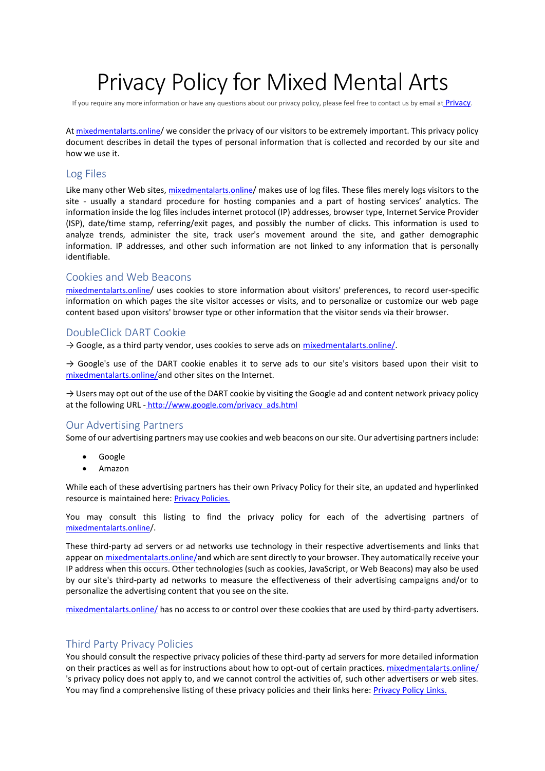# Privacy Policy for Mixed Mental Arts

If you require any more information or have any questions about our privacy policy, please feel free to contact us by email at **[Privacy](mailto:email@mixedmentalarts.online)**.

At [mixedmentalarts.online](https://mixedmentalarts.online/)/ we consider the privacy of our visitors to be extremely important. This privacy policy document describes in detail the types of personal information that is collected and recorded by our site and how we use it.

## Log Files

Like many other Web sites, [mixedmentalarts.online](https://mixedmentalarts.online/)/ makes use of log files. These files merely logs visitors to the site - usually a standard procedure for hosting companies and a part of hosting services' analytics. The information inside the log files includes internet protocol (IP) addresses, browser type, Internet Service Provider (ISP), date/time stamp, referring/exit pages, and possibly the number of clicks. This information is used to analyze trends, administer the site, track user's movement around the site, and gather demographic information. IP addresses, and other such information are not linked to any information that is personally identifiable.

### Cookies and Web Beacons

[mixedmentalarts.online](https://mixedmentalarts.online/)/ uses cookies to store information about visitors' preferences, to record user-specific information on which pages the site visitor accesses or visits, and to personalize or customize our web page content based upon visitors' browser type or other information that the visitor sends via their browser.

## DoubleClick DART Cookie

→ Google, as a third party vendor, uses cookies to serve ads on [mixedmentalarts.online/.](https://mixedmentalarts.online/)

 $\rightarrow$  Google's use of the DART cookie enables it to serve ads to our site's visitors based upon their visit to [mixedmentalarts.online/a](https://mixedmentalarts.online/)nd other sites on the Internet.

 $\rightarrow$  Users may opt out of the use of the DART cookie by visiting the Google ad and content network privacy policy at the following URL - [http://www.google.com/privacy\\_ads.html](http://www.google.com/privacy_ads.html)

## Our Advertising Partners

Some of our advertising partners may use cookies and web beacons on our site. Our advertising partners include:

- **Google**
- Amazon

While each of these advertising partners has their own Privacy Policy for their site, an updated and hyperlinked resource is maintained here: [Privacy Policies.](http://www.privacypolicyonline.com/privacy-policies)

You may consult this listing to find the privacy policy for each of the advertising partners of [mixedmentalarts.online](https://mixedmentalarts.online/)/.

These third-party ad servers or ad networks use technology in their respective advertisements and links that appear on [mixedmentalarts.online/a](https://mixedmentalarts.online/)nd which are sent directly to your browser. They automatically receive your IP address when this occurs. Other technologies (such as cookies, JavaScript, or Web Beacons) may also be used by our site's third-party ad networks to measure the effectiveness of their advertising campaigns and/or to personalize the advertising content that you see on the site.

[mixedmentalarts.online/](https://mixedmentalarts.online/) has no access to or control over these cookies that are used by third-party advertisers.

# Third Party Privacy Policies

You should consult the respective privacy policies of these third-party ad servers for more detailed information on their practices as well as for instructions about how to opt-out of certain practices[. mixedmentalarts.online/](https://mixedmentalarts.online/) 's privacy policy does not apply to, and we cannot control the activities of, such other advertisers or web sites. You may find a comprehensive listing of these privacy policies and their links here: [Privacy Policy Links.](http://www.privacypolicyonline.com/privacy-policy-links)